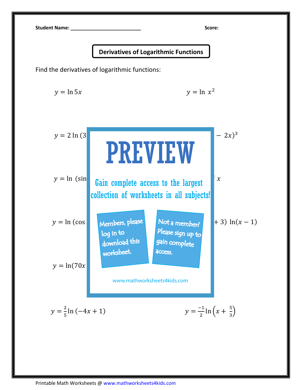